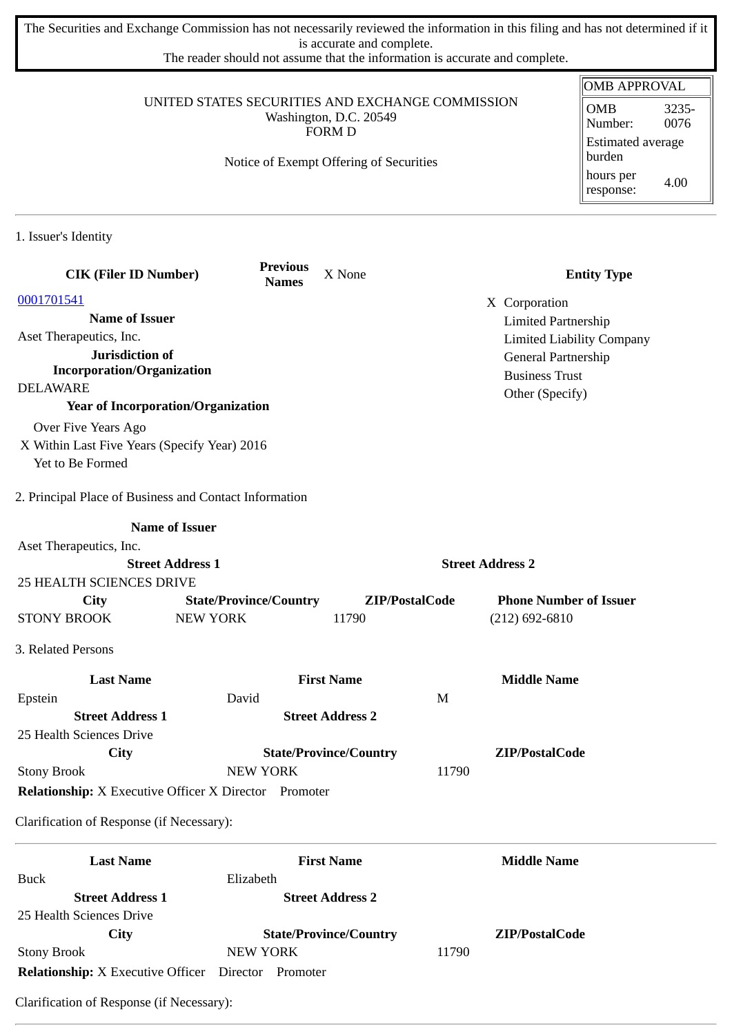The Securities and Exchange Commission has not necessarily reviewed the information in this filing and has not determined if it is accurate and complete.

The reader should not assume that the information is accurate and complete.

|                                                              |                                                  |                                         |                         | <b>OMB APPROVAL</b>                    |
|--------------------------------------------------------------|--------------------------------------------------|-----------------------------------------|-------------------------|----------------------------------------|
|                                                              | UNITED STATES SECURITIES AND EXCHANGE COMMISSION | Washington, D.C. 20549<br><b>FORM D</b> |                         | <b>OMB</b><br>3235-<br>0076<br>Number: |
|                                                              |                                                  | Notice of Exempt Offering of Securities |                         | Estimated average<br>burden            |
|                                                              |                                                  |                                         |                         | hours per<br>4.00<br>response:         |
| 1. Issuer's Identity                                         |                                                  |                                         |                         |                                        |
| <b>CIK (Filer ID Number)</b>                                 | <b>Previous</b><br><b>Names</b>                  | X None                                  |                         | <b>Entity Type</b>                     |
| 0001701541                                                   |                                                  |                                         | X Corporation           |                                        |
| <b>Name of Issuer</b>                                        |                                                  |                                         |                         | <b>Limited Partnership</b>             |
| Aset Therapeutics, Inc.                                      |                                                  |                                         |                         | <b>Limited Liability Company</b>       |
| Jurisdiction of                                              |                                                  |                                         |                         | General Partnership                    |
| <b>Incorporation/Organization</b>                            |                                                  |                                         |                         | <b>Business Trust</b>                  |
| <b>DELAWARE</b>                                              |                                                  |                                         |                         | Other (Specify)                        |
| <b>Year of Incorporation/Organization</b>                    |                                                  |                                         |                         |                                        |
| Over Five Years Ago                                          |                                                  |                                         |                         |                                        |
| X Within Last Five Years (Specify Year) 2016                 |                                                  |                                         |                         |                                        |
| Yet to Be Formed                                             |                                                  |                                         |                         |                                        |
| 2. Principal Place of Business and Contact Information       |                                                  |                                         |                         |                                        |
|                                                              | <b>Name of Issuer</b>                            |                                         |                         |                                        |
| Aset Therapeutics, Inc.                                      |                                                  |                                         |                         |                                        |
|                                                              | <b>Street Address 1</b>                          |                                         | <b>Street Address 2</b> |                                        |
| <b>25 HEALTH SCIENCES DRIVE</b>                              |                                                  |                                         |                         |                                        |
| <b>City</b>                                                  | <b>State/Province/Country</b>                    | ZIP/PostalCode                          |                         | <b>Phone Number of Issuer</b>          |
| <b>STONY BROOK</b>                                           | <b>NEW YORK</b>                                  | 11790                                   | $(212)$ 692-6810        |                                        |
| 3. Related Persons                                           |                                                  |                                         |                         |                                        |
| <b>Last Name</b>                                             |                                                  | <b>First Name</b>                       | <b>Middle Name</b>      |                                        |
| Epstein                                                      | David                                            |                                         | M                       |                                        |
| <b>Street Address 1</b>                                      |                                                  | <b>Street Address 2</b>                 |                         |                                        |
| 25 Health Sciences Drive                                     |                                                  |                                         |                         |                                        |
| City                                                         |                                                  | <b>State/Province/Country</b>           | ZIP/PostalCode          |                                        |
| <b>Stony Brook</b>                                           | <b>NEW YORK</b>                                  |                                         | 11790                   |                                        |
| <b>Relationship:</b> X Executive Officer X Director Promoter |                                                  |                                         |                         |                                        |
| Clarification of Response (if Necessary):                    |                                                  |                                         |                         |                                        |
| <b>Last Name</b>                                             |                                                  | <b>First Name</b>                       | <b>Middle Name</b>      |                                        |
| <b>Buck</b>                                                  | Elizabeth                                        |                                         |                         |                                        |
| <b>Street Address 1</b>                                      |                                                  | <b>Street Address 2</b>                 |                         |                                        |
| 25 Health Sciences Drive                                     |                                                  |                                         |                         |                                        |
| <b>City</b>                                                  |                                                  | <b>State/Province/Country</b>           | ZIP/PostalCode          |                                        |

**Relationship:** X Executive Officer Director Promoter

Stony Brook NEW YORK 11790

Clarification of Response (if Necessary):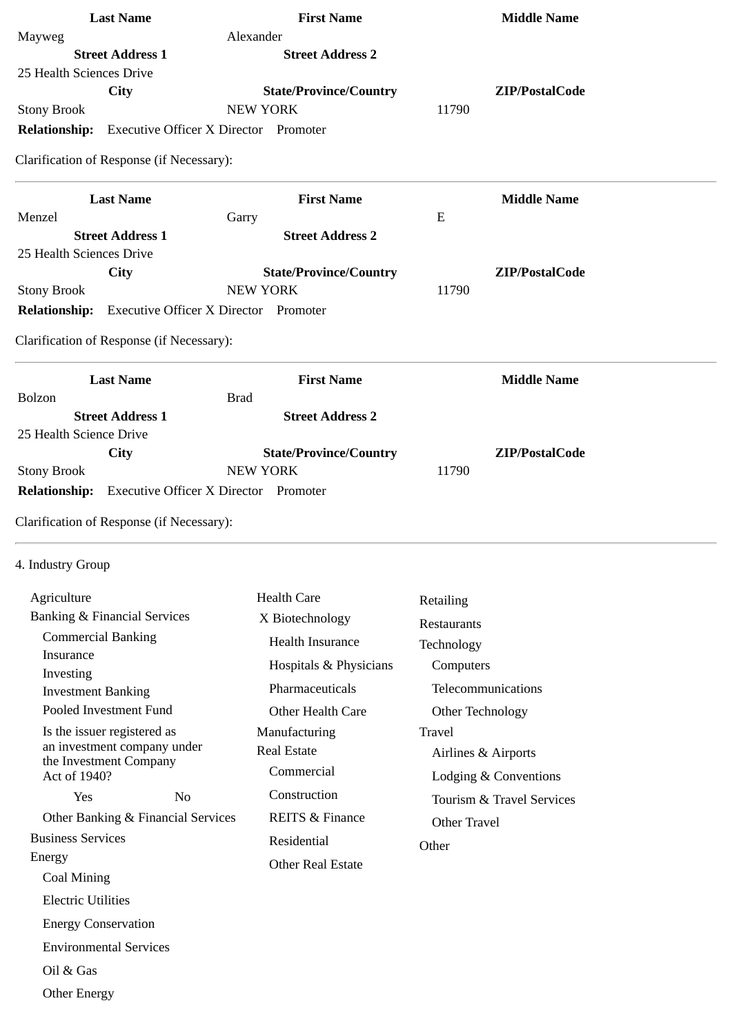| <b>Last Name</b>                                                     | <b>First Name</b>             | <b>Middle Name</b>        |
|----------------------------------------------------------------------|-------------------------------|---------------------------|
| Mayweg                                                               | Alexander                     |                           |
| <b>Street Address 1</b>                                              | <b>Street Address 2</b>       |                           |
| 25 Health Sciences Drive                                             |                               |                           |
| <b>City</b>                                                          | <b>State/Province/Country</b> | ZIP/PostalCode            |
| <b>Stony Brook</b>                                                   | <b>NEW YORK</b>               | 11790                     |
| <b>Relationship:</b><br><b>Executive Officer X Director Promoter</b> |                               |                           |
| Clarification of Response (if Necessary):                            |                               |                           |
| <b>Last Name</b>                                                     | <b>First Name</b>             | <b>Middle Name</b>        |
| Menzel                                                               | Garry                         | E                         |
| <b>Street Address 1</b>                                              | <b>Street Address 2</b>       |                           |
| 25 Health Sciences Drive                                             |                               |                           |
| City                                                                 | <b>State/Province/Country</b> | ZIP/PostalCode            |
| <b>Stony Brook</b>                                                   | <b>NEW YORK</b>               | 11790                     |
| <b>Executive Officer X Director Promoter</b><br><b>Relationship:</b> |                               |                           |
| Clarification of Response (if Necessary):                            |                               |                           |
| <b>Last Name</b>                                                     | <b>First Name</b>             | <b>Middle Name</b>        |
| Bolzon<br><b>Brad</b>                                                |                               |                           |
| <b>Street Address 1</b>                                              | <b>Street Address 2</b>       |                           |
| 25 Health Science Drive                                              |                               |                           |
| City                                                                 | <b>State/Province/Country</b> | ZIP/PostalCode            |
| <b>Stony Brook</b>                                                   | <b>NEW YORK</b>               | 11790                     |
| <b>Relationship:</b><br><b>Executive Officer X Director Promoter</b> |                               |                           |
| Clarification of Response (if Necessary):                            |                               |                           |
| 4. Industry Group                                                    |                               |                           |
| Agriculture                                                          | <b>Health Care</b>            | Retailing                 |
| <b>Banking &amp; Financial Services</b>                              | X Biotechnology               | <b>Restaurants</b>        |
| <b>Commercial Banking</b>                                            | <b>Health Insurance</b>       |                           |
| Insurance                                                            |                               | Technology                |
| Investing                                                            | Hospitals & Physicians        | Computers                 |
| <b>Investment Banking</b>                                            | Pharmaceuticals               | Telecommunications        |
| Pooled Investment Fund                                               | Other Health Care             | Other Technology          |
| Is the issuer registered as                                          | Manufacturing                 | Travel                    |
| an investment company under                                          | <b>Real Estate</b>            | Airlines & Airports       |
| the Investment Company                                               | Commercial                    |                           |
| Act of 1940?                                                         | Construction                  | Lodging & Conventions     |
| Yes<br>N <sub>0</sub>                                                |                               | Tourism & Travel Services |
| Other Banking & Financial Services                                   | <b>REITS &amp; Finance</b>    | Other Travel              |
| <b>Business Services</b>                                             | Residential                   | Other                     |
| Energy                                                               | <b>Other Real Estate</b>      |                           |
| <b>Coal Mining</b>                                                   |                               |                           |
| <b>Electric Utilities</b>                                            |                               |                           |
| <b>Energy Conservation</b>                                           |                               |                           |
| <b>Environmental Services</b>                                        |                               |                           |
|                                                                      |                               |                           |

Oil & Gas

Other Energy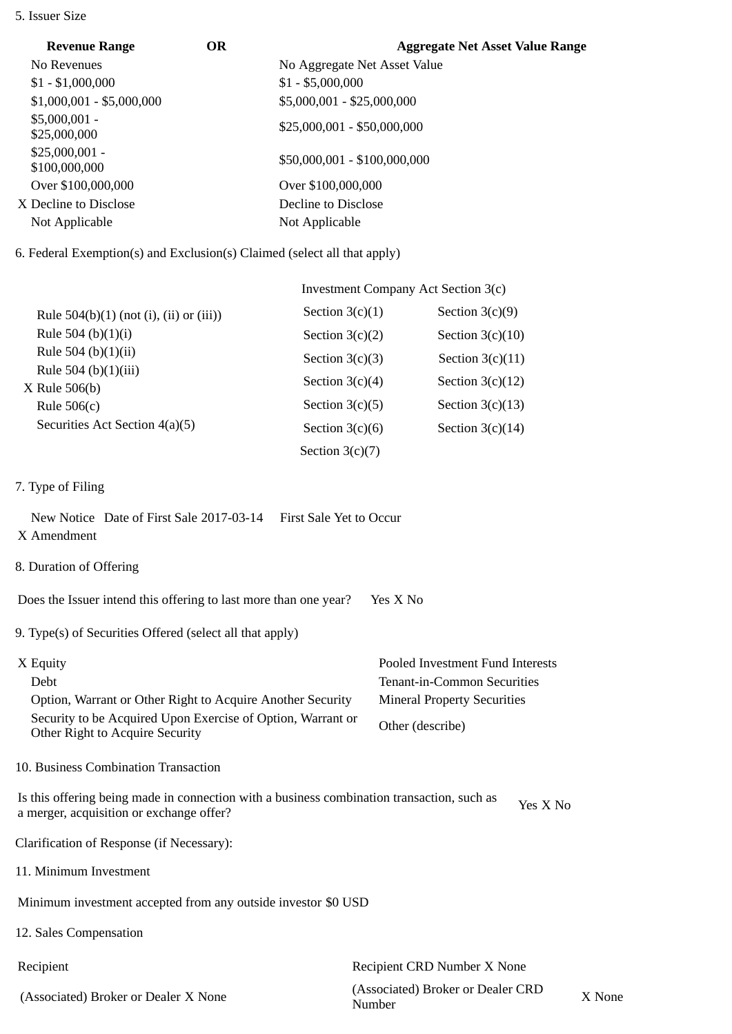#### 5. Issuer Size

| <b>Revenue Range</b>             | <b>OR</b> | <b>Aggregate Net Asset Value Range</b> |
|----------------------------------|-----------|----------------------------------------|
| No Revenues                      |           | No Aggregate Net Asset Value           |
| $$1 - $1,000,000$                |           | $$1 - $5,000,000$                      |
| $$1,000,001 - $5,000,000$        |           | \$5,000,001 - \$25,000,000             |
| $$5,000,001 -$<br>\$25,000,000   |           | \$25,000,001 - \$50,000,000            |
| $$25,000,001 -$<br>\$100,000,000 |           | \$50,000,001 - \$100,000,000           |
| Over \$100,000,000               |           | Over \$100,000,000                     |
| X Decline to Disclose            |           | Decline to Disclose                    |
| Not Applicable                   |           | Not Applicable                         |

6. Federal Exemption(s) and Exclusion(s) Claimed (select all that apply)

|                                            | Investment Company Act Section 3(c) |                    |  |
|--------------------------------------------|-------------------------------------|--------------------|--|
| Rule $504(b)(1)$ (not (i), (ii) or (iii))  | Section $3(c)(1)$                   | Section $3(c)(9)$  |  |
| Rule 504 (b) $(1)(i)$                      | Section $3(c)(2)$                   | Section $3(c)(10)$ |  |
| Rule 504 (b) $(1)(ii)$                     | Section $3(c)(3)$                   | Section $3(c)(11)$ |  |
| Rule 504 (b) $(1)(iii)$<br>$X$ Rule 506(b) | Section $3(c)(4)$                   | Section $3(c)(12)$ |  |
| Rule $506(c)$                              | Section $3(c)(5)$                   | Section $3(c)(13)$ |  |
| Securities Act Section 4(a)(5)             | Section $3(c)(6)$                   | Section $3(c)(14)$ |  |
|                                            | Section $3(c)(7)$                   |                    |  |

# 7. Type of Filing

New Notice Date of First Sale 2017-03-14 First Sale Yet to Occur

- X Amendment
- 8. Duration of Offering

Does the Issuer intend this offering to last more than one year? Yes X No

9. Type(s) of Securities Offered (select all that apply)

| X Equity                                                                                       | Pooled Investment Fund Interests   |
|------------------------------------------------------------------------------------------------|------------------------------------|
| Debt                                                                                           | Tenant-in-Common Securities        |
| Option, Warrant or Other Right to Acquire Another Security                                     | <b>Mineral Property Securities</b> |
| Security to be Acquired Upon Exercise of Option, Warrant or<br>Other Right to Acquire Security | Other (describe)                   |

10. Business Combination Transaction

Is this offering being made in connection with a business combination transaction, such as is this oriering being made in connection with a business combination transaction, such as  $Y$ es X No a merger, acquisition or exchange offer?

Clarification of Response (if Necessary):

11. Minimum Investment

Minimum investment accepted from any outside investor \$0 USD

12. Sales Compensation

(Associated) Broker or Dealer X None (Associated) CRSDCIA

Recipient Recipient CRD Number X None

 $(Associated)$  Broker or Dealer CRD  $X$  None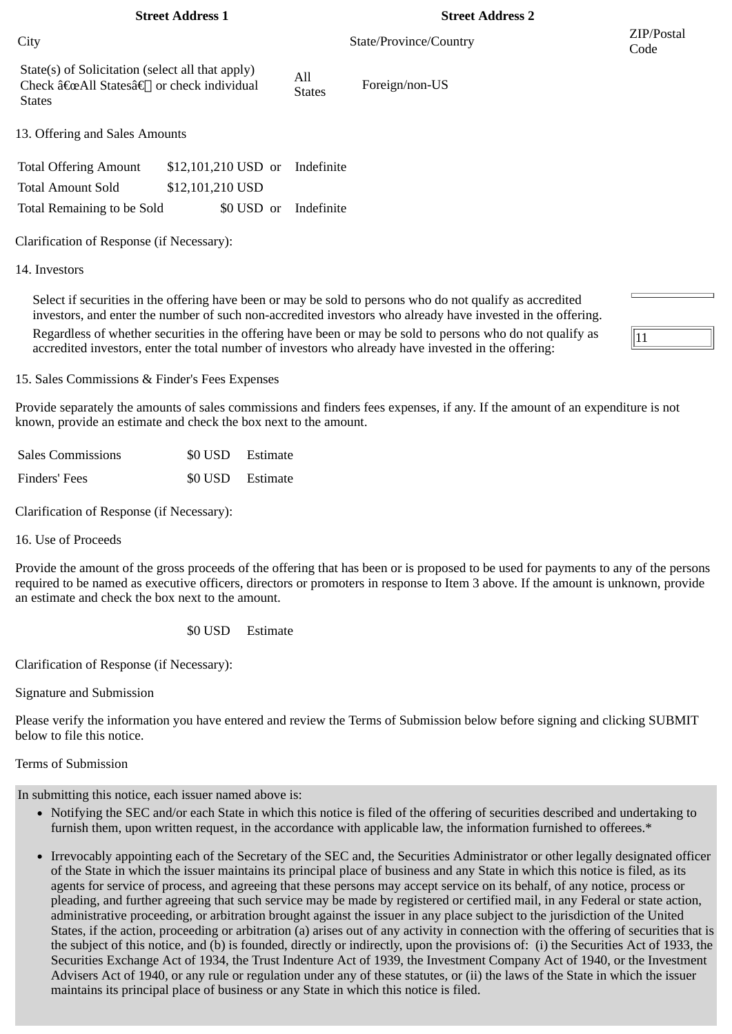| <b>Street Address 1</b> |  |
|-------------------------|--|
|                         |  |

### **Street Address 1 Street Address 2**

| City |                        | ZIP/Postal |
|------|------------------------|------------|
|      | State/Province/Country | ما-م'      |

State(s) of Solicitation (select all that apply) Check  $\hat{a} \in \alpha$ All States $\hat{a} \in \square$  or check individual States All States Foreign/non-US

13. Offering and Sales Amounts

| <b>Total Offering Amount</b> | \$12,101,210 USD or Indefinite |                       |
|------------------------------|--------------------------------|-----------------------|
| <b>Total Amount Sold</b>     | \$12,101,210 USD               |                       |
| Total Remaining to be Sold   |                                | \$0 USD or Indefinite |

Clarification of Response (if Necessary):

# 14. Investors

Select if securities in the offering have been or may be sold to persons who do not qualify as accredited investors, and enter the number of such non-accredited investors who already have invested in the offering.

Regardless of whether securities in the offering have been or may be sold to persons who do not qualify as accredited investors, enter the total number of investors who already have invested in the offering:



15. Sales Commissions & Finder's Fees Expenses

Provide separately the amounts of sales commissions and finders fees expenses, if any. If the amount of an expenditure is not known, provide an estimate and check the box next to the amount.

| <b>Sales Commissions</b> | \$0 USD Estimate |
|--------------------------|------------------|
| Finders' Fees            | \$0 USD Estimate |

Clarification of Response (if Necessary):

16. Use of Proceeds

Provide the amount of the gross proceeds of the offering that has been or is proposed to be used for payments to any of the persons required to be named as executive officers, directors or promoters in response to Item 3 above. If the amount is unknown, provide an estimate and check the box next to the amount.

# \$0 USD Estimate

Clarification of Response (if Necessary):

Signature and Submission

Please verify the information you have entered and review the Terms of Submission below before signing and clicking SUBMIT below to file this notice.

Terms of Submission

In submitting this notice, each issuer named above is:

- Notifying the SEC and/or each State in which this notice is filed of the offering of securities described and undertaking to furnish them, upon written request, in the accordance with applicable law, the information furnished to offerees.\*
- Irrevocably appointing each of the Secretary of the SEC and, the Securities Administrator or other legally designated officer of the State in which the issuer maintains its principal place of business and any State in which this notice is filed, as its agents for service of process, and agreeing that these persons may accept service on its behalf, of any notice, process or pleading, and further agreeing that such service may be made by registered or certified mail, in any Federal or state action, administrative proceeding, or arbitration brought against the issuer in any place subject to the jurisdiction of the United States, if the action, proceeding or arbitration (a) arises out of any activity in connection with the offering of securities that is the subject of this notice, and (b) is founded, directly or indirectly, upon the provisions of: (i) the Securities Act of 1933, the Securities Exchange Act of 1934, the Trust Indenture Act of 1939, the Investment Company Act of 1940, or the Investment Advisers Act of 1940, or any rule or regulation under any of these statutes, or (ii) the laws of the State in which the issuer maintains its principal place of business or any State in which this notice is filed.

Code